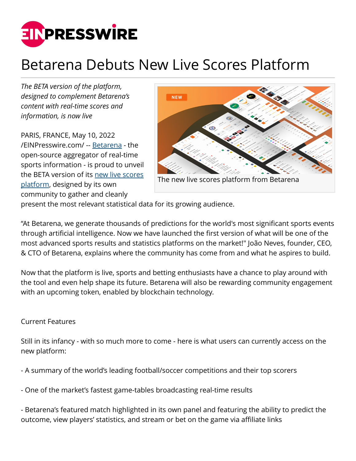

## Betarena Debuts New Live Scores Platform

*The BETA version of the platform, designed to complement Betarena's content with real-time scores and information, is now live*

PARIS, FRANCE, May 10, 2022 [/EINPresswire.com/](http://www.einpresswire.com) -- [Betarena](https://www.betarena.com/) - the open-source aggregator of real-time sports information - is proud to unveil the BETA version of its [new live scores](https://scores.betarena.com/) [platform,](https://scores.betarena.com/) designed by its own community to gather and cleanly



present the most relevant statistical data for its growing audience.

"At Betarena, we generate thousands of predictions for the world's most significant sports events through artificial intelligence. Now we have launched the first version of what will be one of the most advanced sports results and statistics platforms on the market!" João Neves, founder, CEO, & CTO of Betarena, explains where the community has come from and what he aspires to build.

Now that the platform is live, sports and betting enthusiasts have a chance to play around with the tool and even help shape its future. Betarena will also be rewarding community engagement with an upcoming token, enabled by blockchain technology.

## Current Features

Still in its infancy - with so much more to come - here is what users can currently access on the new platform:

- A summary of the world's leading football/soccer competitions and their top scorers

- One of the market's fastest game-tables broadcasting real-time results

- Betarena's featured match highlighted in its own panel and featuring the ability to predict the outcome, view players' statistics, and stream or bet on the game via affiliate links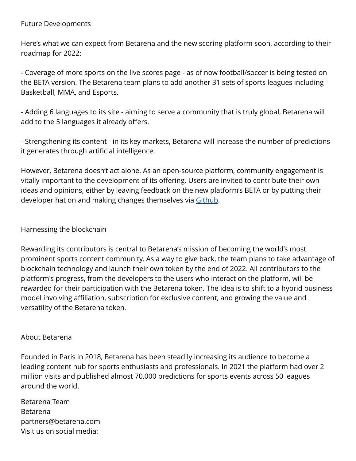## Future Developments

Here's what we can expect from Betarena and the new scoring platform soon, according to their roadmap for 2022:

- Coverage of more sports on the live scores page - as of now football/soccer is being tested on the BETA version. The Betarena team plans to add another 31 sets of sports leagues including Basketball, MMA, and Esports.

- Adding 6 languages to its site - aiming to serve a community that is truly global, Betarena will add to the 5 languages it already offers.

- Strengthening its content - in its key markets, Betarena will increase the number of predictions it generates through artificial intelligence.

However, Betarena doesn't act alone. As an open-source platform, community engagement is vitally important to the development of its offering. Users are invited to contribute their own ideas and opinions, either by leaving feedback on the new platform's BETA or by putting their developer hat on and making changes themselves via [Github](https://github.com/Betarena/scores/projects/1).

Harnessing the blockchain

Rewarding its contributors is central to Betarena's mission of becoming the world's most prominent sports content community. As a way to give back, the team plans to take advantage of blockchain technology and launch their own token by the end of 2022. All contributors to the platform's progress, from the developers to the users who interact on the platform, will be rewarded for their participation with the Betarena token. The idea is to shift to a hybrid business model involving affiliation, subscription for exclusive content, and growing the value and versatility of the Betarena token.

## About Betarena

Founded in Paris in 2018, Betarena has been steadily increasing its audience to become a leading content hub for sports enthusiasts and professionals. In 2021 the platform had over 2 million visits and published almost 70,000 predictions for sports events across 50 leagues around the world.

| Betarena Team             |
|---------------------------|
| Betarena                  |
| partners@betarena.com     |
| Visit us on social media: |